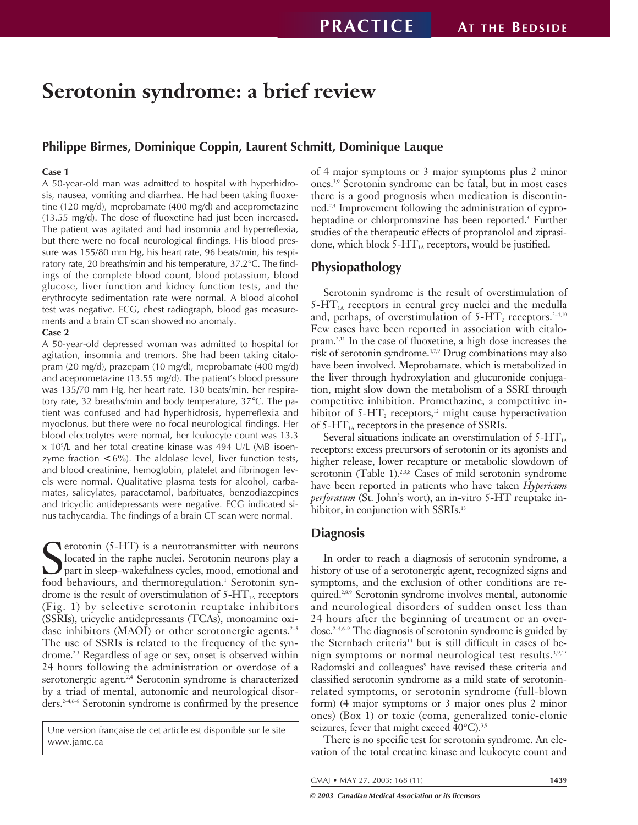# **Serotonin syndrome: a brief review**

#### **Philippe Birmes, Dominique Coppin, Laurent Schmitt, Dominique Lauque**

#### **Case 1**

A 50-year-old man was admitted to hospital with hyperhidrosis, nausea, vomiting and diarrhea. He had been taking fluoxetine (120 mg/d), meprobamate (400 mg/d) and aceprometazine (13.55 mg/d). The dose of fluoxetine had just been increased. The patient was agitated and had insomnia and hyperreflexia, but there were no focal neurological findings. His blood pressure was 155/80 mm Hg, his heart rate, 96 beats/min, his respiratory rate, 20 breaths/min and his temperature, 37.2°C. The findings of the complete blood count, blood potassium, blood glucose, liver function and kidney function tests, and the erythrocyte sedimentation rate were normal. A blood alcohol test was negative. ECG, chest radiograph, blood gas measurements and a brain CT scan showed no anomaly.

#### **Case 2**

A 50-year-old depressed woman was admitted to hospital for agitation, insomnia and tremors. She had been taking citalopram (20 mg/d), prazepam (10 mg/d), meprobamate (400 mg/d) and aceprometazine (13.55 mg/d). The patient's blood pressure was 135/70 mm Hg, her heart rate, 130 beats/min, her respiratory rate, 32 breaths/min and body temperature, 37°C. The patient was confused and had hyperhidrosis, hyperreflexia and myoclonus, but there were no focal neurological findings. Her blood electrolytes were normal, her leukocyte count was 13.3 x 109 /L and her total creatine kinase was 494 U/L (MB isoenzyme fraction  $< 6\%$ ). The aldolase level, liver function tests, and blood creatinine, hemoglobin, platelet and fibrinogen levels were normal. Qualitative plasma tests for alcohol, carbamates, salicylates, paracetamol, barbituates, benzodiazepines and tricyclic antidepressants were negative. ECG indicated sinus tachycardia. The findings of a brain CT scan were normal.

S<sub>food</sub> **T** erotonin (5-HT) is a neurotransmitter with neurons located in the raphe nuclei. Serotonin neurons play a part in sleep–wakefulness cycles, mood, emotional and food behaviours, and thermoregulation.<sup>1</sup> Serotonin syndrome is the result of overstimulation of  $5-HT<sub>1A</sub>$  receptors (Fig. 1) by selective serotonin reuptake inhibitors (SSRIs), tricyclic antidepressants (TCAs), monoamine oxidase inhibitors (MAOI) or other serotonergic agents.<sup>2-5</sup> The use of SSRIs is related to the frequency of the syndrome.<sup>2,3</sup> Regardless of age or sex, onset is observed within 24 hours following the administration or overdose of a serotonergic agent.<sup>2,4</sup> Serotonin syndrome is characterized by a triad of mental, autonomic and neurological disorders.2–4,6–8 Serotonin syndrome is confirmed by the presence

Une version française de cet article est disponible sur le site www.jamc.ca

of 4 major symptoms or 3 major symptoms plus 2 minor ones.3,9 Serotonin syndrome can be fatal, but in most cases there is a good prognosis when medication is discontinued.2,4 Improvement following the administration of cyproheptadine or chlorpromazine has been reported.<sup>3</sup> Further studies of the therapeutic effects of propranolol and ziprasidone, which block  $5-HT_{1A}$  receptors, would be justified.

#### **Physiopathology**

Serotonin syndrome is the result of overstimulation of  $5-\text{HT}_{1\text{A}}$  receptors in central grey nuclei and the medulla and, perhaps, of overstimulation of  $5-HT_2$  receptors.<sup>2-4,10</sup> Few cases have been reported in association with citalopram.2,11 In the case of fluoxetine, a high dose increases the risk of serotonin syndrome.4,7,9 Drug combinations may also have been involved. Meprobamate, which is metabolized in the liver through hydroxylation and glucuronide conjugation, might slow down the metabolism of a SSRI through competitive inhibition. Promethazine, a competitive inhibitor of  $5-HT<sub>2</sub>$  receptors,<sup>12</sup> might cause hyperactivation of 5-H $T_{1A}$  receptors in the presence of SSRIs.

Several situations indicate an overstimulation of  $5-HT<sub>1A</sub>$ receptors: excess precursors of serotonin or its agonists and higher release, lower recapture or metabolic slowdown of serotonin (Table 1).<sup>2,3,8</sup> Cases of mild serotonin syndrome have been reported in patients who have taken *Hypericum perforatum* (St. John's wort), an in-vitro 5-HT reuptake inhibitor, in conjunction with SSRIs.<sup>13</sup>

#### **Diagnosis**

In order to reach a diagnosis of serotonin syndrome, a history of use of a serotonergic agent, recognized signs and symptoms, and the exclusion of other conditions are required.2,8,9 Serotonin syndrome involves mental, autonomic and neurological disorders of sudden onset less than 24 hours after the beginning of treatment or an overdose.2–4,6–9 The diagnosis of serotonin syndrome is guided by the Sternbach criteria<sup>14</sup> but is still difficult in cases of benign symptoms or normal neurological test results.<sup>3,9,15</sup> Radomski and colleagues<sup>9</sup> have revised these criteria and classified serotonin syndrome as a mild state of serotoninrelated symptoms, or serotonin syndrome (full-blown form) (4 major symptoms or 3 major ones plus 2 minor ones) (Box 1) or toxic (coma, generalized tonic-clonic seizures, fever that might exceed 40°C).<sup>3,9</sup>

There is no specific test for serotonin syndrome. An elevation of the total creatine kinase and leukocyte count and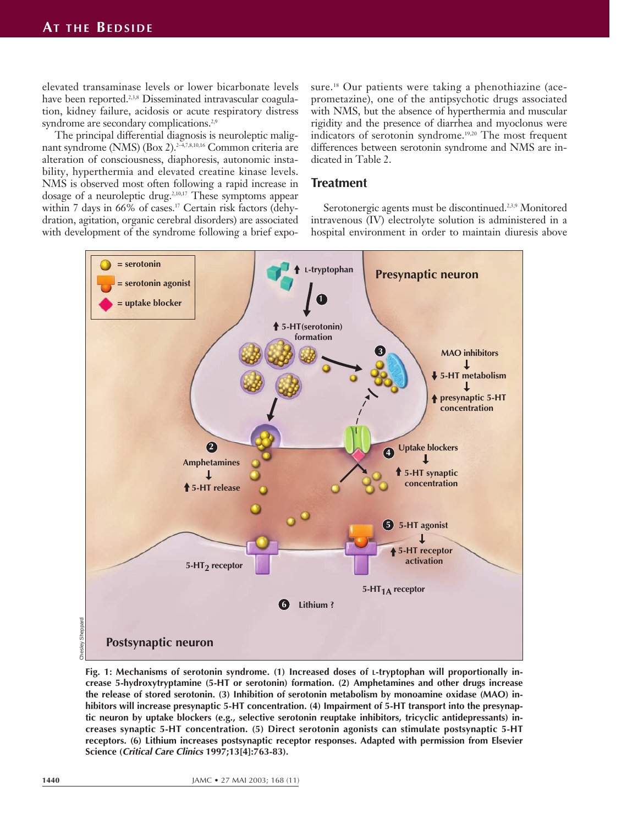elevated transaminase levels or lower bicarbonate levels have been reported.<sup>2,3,8</sup> Disseminated intravascular coagulation, kidney failure, acidosis or acute respiratory distress syndrome are secondary complications.<sup>2,9</sup>

The principal differential diagnosis is neuroleptic malignant syndrome (NMS) (Box 2).<sup>2-4,7,8,10,16</sup> Common criteria are alteration of consciousness, diaphoresis, autonomic instability, hyperthermia and elevated creatine kinase levels. NMS is observed most often following a rapid increase in dosage of a neuroleptic drug.2,10,17 These symptoms appear within 7 days in 66% of cases.<sup>17</sup> Certain risk factors (dehydration, agitation, organic cerebral disorders) are associated with development of the syndrome following a brief exposure.<sup>18</sup> Our patients were taking a phenothiazine (aceprometazine), one of the antipsychotic drugs associated with NMS, but the absence of hyperthermia and muscular rigidity and the presence of diarrhea and myoclonus were indicators of serotonin syndrome.<sup>19,20</sup> The most frequent differences between serotonin syndrome and NMS are indicated in Table 2.

## **Treatment**

Serotonergic agents must be discontinued.<sup>2,3,9</sup> Monitored intravenous (IV) electrolyte solution is administered in a hospital environment in order to maintain diuresis above



Sheppard Chesley Sheppard

> **Fig. 1: Mechanisms of serotonin syndrome. (1) Increased doses of L-tryptophan will proportionally increase 5-hydroxytryptamine (5-HT or serotonin) formation. (2) Amphetamines and other drugs increase the release of stored serotonin. (3) Inhibition of serotonin metabolism by monoamine oxidase (MAO) inhibitors will increase presynaptic 5-HT concentration. (4) Impairment of 5-HT transport into the presynaptic neuron by uptake blockers (e.g., selective serotonin reuptake inhibitors, tricyclic antidepressants) increases synaptic 5-HT concentration. (5) Direct serotonin agonists can stimulate postsynaptic 5-HT receptors. (6) Lithium increases postsynaptic receptor responses. Adapted with permission from Elsevier Science (Critical Care Clinics 1997;13[4]:763-83).**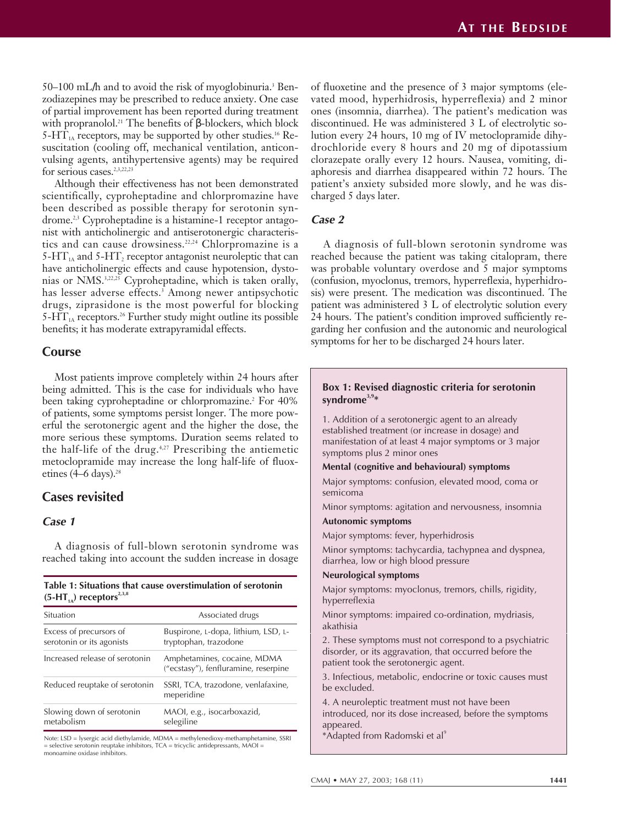$50-100$  mL/h and to avoid the risk of myoglobinuria.<sup>3</sup> Benzodiazepines may be prescribed to reduce anxiety. One case of partial improvement has been reported during treatment with propranolol.<sup>21</sup> The benefits of β-blockers, which block 5-HT<sub>1A</sub> receptors, may be supported by other studies.<sup>16</sup> Resuscitation (cooling off, mechanical ventilation, anticonvulsing agents, antihypertensive agents) may be required for serious cases.<sup>2,3,22,23</sup>

Although their effectiveness has not been demonstrated scientifically, cyproheptadine and chlorpromazine have been described as possible therapy for serotonin syndrome.<sup>2,3</sup> Cyproheptadine is a histamine-1 receptor antagonist with anticholinergic and antiserotonergic characteristics and can cause drowsiness.22,24 Chlorpromazine is a  $5-HT<sub>1A</sub>$  and  $5-HT<sub>2</sub>$  receptor antagonist neuroleptic that can have anticholinergic effects and cause hypotension, dystonias or NMS.<sup>3,22,25</sup> Cyproheptadine, which is taken orally, has lesser adverse effects.<sup>3</sup> Among newer antipsychotic drugs, ziprasidone is the most powerful for blocking  $5-\text{HT}_{1A}$  receptors.<sup>26</sup> Further study might outline its possible benefits; it has moderate extrapyramidal effects.

## **Course**

Most patients improve completely within 24 hours after being admitted. This is the case for individuals who have been taking cyproheptadine or chlorpromazine.<sup>2</sup> For 40% of patients, some symptoms persist longer. The more powerful the serotonergic agent and the higher the dose, the more serious these symptoms. Duration seems related to the half-life of the drug. $4,27$  Prescribing the antiemetic metoclopramide may increase the long half-life of fluoxetines (4–6 days).<sup>28</sup>

# **Cases revisited**

#### **Case 1**

A diagnosis of full-blown serotonin syndrome was reached taking into account the sudden increase in dosage

#### **Table 1: Situations that cause overstimulation of serotonin**  $(5-HT_{1A})$  receptors<sup>2,3,8</sup>

| Situation                                            | Associated drugs                                                    |  |
|------------------------------------------------------|---------------------------------------------------------------------|--|
| Excess of precursors of<br>serotonin or its agonists | Buspirone, L-dopa, lithium, LSD, L-<br>tryptophan, trazodone        |  |
| Increased release of serotonin                       | Amphetamines, cocaine, MDMA<br>("ecstasy"), fenfluramine, reserpine |  |
| Reduced reuptake of serotonin                        | SSRI, TCA, trazodone, venlafaxine,<br>meperidine                    |  |
| Slowing down of serotonin<br>metabolism              | MAOI, e.g., isocarboxazid,<br>selegiline                            |  |

Note: LSD = lysergic acid diethylamide, MDMA = methylenedioxy-methamphetamine, SSRI = selective serotonin reuptake inhibitors, TCA = tricyclic antidepressants, MAOI = monoamine oxidase inhibitors.

of fluoxetine and the presence of 3 major symptoms (elevated mood, hyperhidrosis, hyperreflexia) and 2 minor ones (insomnia, diarrhea). The patient's medication was discontinued. He was administered 3 L of electrolytic solution every 24 hours, 10 mg of IV metoclopramide dihydrochloride every 8 hours and 20 mg of dipotassium clorazepate orally every 12 hours. Nausea, vomiting, diaphoresis and diarrhea disappeared within 72 hours. The patient's anxiety subsided more slowly, and he was discharged 5 days later.

#### **Case 2**

A diagnosis of full-blown serotonin syndrome was reached because the patient was taking citalopram, there was probable voluntary overdose and 5 major symptoms (confusion, myoclonus, tremors, hyperreflexia, hyperhidrosis) were present. The medication was discontinued. The patient was administered 3 L of electrolytic solution every 24 hours. The patient's condition improved sufficiently regarding her confusion and the autonomic and neurological symptoms for her to be discharged 24 hours later.

#### **Box 1: Revised diagnostic criteria for serotonin syndrome3,9\***

1. Addition of a serotonergic agent to an already established treatment (or increase in dosage) and manifestation of at least 4 major symptoms or 3 major symptoms plus 2 minor ones

#### **Mental (cognitive and behavioural) symptoms**

Major symptoms: confusion, elevated mood, coma or semicoma

Minor symptoms: agitation and nervousness, insomnia

#### **Autonomic symptoms**

Major symptoms: fever, hyperhidrosis

Minor symptoms: tachycardia, tachypnea and dyspnea, diarrhea, low or high blood pressure

#### **Neurological symptoms**

Major symptoms: myoclonus, tremors, chills, rigidity, hyperreflexia

Minor symptoms: impaired co-ordination, mydriasis, akathisia

2. These symptoms must not correspond to a psychiatric disorder, or its aggravation, that occurred before the patient took the serotonergic agent.

3. Infectious, metabolic, endocrine or toxic causes must be excluded.

4. A neuroleptic treatment must not have been introduced, nor its dose increased, before the symptoms appeared.

\*Adapted from Radomski et al<sup>9</sup>